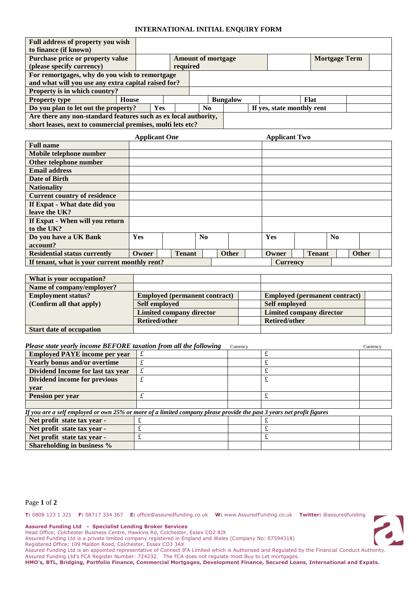## **INTERNATIONAL INITIAL ENQUIRY FORM**

| Full address of property you wish                               |       |                           |                |  |                 |                            |                      |      |  |  |  |
|-----------------------------------------------------------------|-------|---------------------------|----------------|--|-----------------|----------------------------|----------------------|------|--|--|--|
| to finance (if known)                                           |       |                           |                |  |                 |                            |                      |      |  |  |  |
| Purchase price or property value                                |       | <b>Amount of mortgage</b> |                |  |                 |                            | <b>Mortgage Term</b> |      |  |  |  |
| (please specify currency)<br>required                           |       |                           |                |  |                 |                            |                      |      |  |  |  |
| For remortgages, why do you wish to remortgage                  |       |                           |                |  |                 |                            |                      |      |  |  |  |
| and what will you use any extra capital raised for?             |       |                           |                |  |                 |                            |                      |      |  |  |  |
| Property is in which country?                                   |       |                           |                |  |                 |                            |                      |      |  |  |  |
| <b>Property type</b>                                            | House |                           |                |  | <b>Bungalow</b> |                            |                      | Flat |  |  |  |
| Do you plan to let out the property?<br><b>Yes</b>              |       |                           | N <sub>0</sub> |  |                 | If yes, state monthly rent |                      |      |  |  |  |
| Are there any non-standard features such as ex local authority, |       |                           |                |  |                 |                            |                      |      |  |  |  |
| short leases, next to commercial premises, multi lets etc?      |       |                           |                |  |                 |                            |                      |      |  |  |  |

|                                               | <b>Applicant One</b> |               |                |              | <b>Applicant Two</b> |                 |  |               |          |              |  |
|-----------------------------------------------|----------------------|---------------|----------------|--------------|----------------------|-----------------|--|---------------|----------|--------------|--|
| <b>Full name</b>                              |                      |               |                |              |                      |                 |  |               |          |              |  |
| Mobile telephone number                       |                      |               |                |              |                      |                 |  |               |          |              |  |
| Other telephone number                        |                      |               |                |              |                      |                 |  |               |          |              |  |
| <b>Email address</b>                          |                      |               |                |              |                      |                 |  |               |          |              |  |
| Date of Birth                                 |                      |               |                |              |                      |                 |  |               |          |              |  |
| <b>Nationality</b>                            |                      |               |                |              |                      |                 |  |               |          |              |  |
| <b>Current country of residence</b>           |                      |               |                |              |                      |                 |  |               |          |              |  |
| If Expat - What date did you                  |                      |               |                |              |                      |                 |  |               |          |              |  |
| leave the UK?                                 |                      |               |                |              |                      |                 |  |               |          |              |  |
| If Expat - When will you return               |                      |               |                |              |                      |                 |  |               |          |              |  |
| to the UK?                                    |                      |               |                |              |                      |                 |  |               |          |              |  |
| Do you have a UK Bank                         | <b>Yes</b>           |               | N <sub>0</sub> |              |                      | Yes             |  |               | $\bf No$ |              |  |
| account?                                      |                      |               |                |              |                      |                 |  |               |          |              |  |
| <b>Residential status currently</b>           | Owner                | <b>Tenant</b> |                | <b>Other</b> |                      | Owner           |  | <b>Tenant</b> |          | <b>Other</b> |  |
| If tenant, what is your current monthly rent? |                      |               |                |              |                      | <b>Currency</b> |  |               |          |              |  |

| What is your occupation?        |                                      |                                      |
|---------------------------------|--------------------------------------|--------------------------------------|
| Name of company/employer?       |                                      |                                      |
| <b>Employment status?</b>       | <b>Employed (permanent contract)</b> | <b>Employed (permanent contract)</b> |
| (Confirm all that apply)        | Self employed                        | Self employed                        |
|                                 | <b>Limited company director</b>      | <b>Limited company director</b>      |
|                                 | <b>Retired/other</b>                 | <b>Retired/other</b>                 |
| <b>Start date of occupation</b> |                                      |                                      |

*Please state yearly income BEFORE taxation from all the following Currency Currency Currency Currency* 

| <b>Employed PAYE income per year</b>                                                                                  |  |  |
|-----------------------------------------------------------------------------------------------------------------------|--|--|
| <b>Yearly bonus and/or overtime</b>                                                                                   |  |  |
| Dividend Income for last tax year                                                                                     |  |  |
| Dividend income for previous                                                                                          |  |  |
| year                                                                                                                  |  |  |
| <b>Pension per year</b>                                                                                               |  |  |
|                                                                                                                       |  |  |
| If you are a self employed or own 25% or more of a limited company please provide the past 3 years net profit figures |  |  |
| Net profit state tax year -                                                                                           |  |  |
| Net profit state tax year -                                                                                           |  |  |
| Net profit state tax year -                                                                                           |  |  |
| Shareholding in business %                                                                                            |  |  |

Page **1** of **2**

**T:** 0808 123 1 321 **F:** 08717 334 367 **E:** office@assuredfunding.co.uk **W:** www.AssuredFunding.co.uk **Twitter:** @assuredfunding

**Assured Funding Ltd - Specialist Lending Broker Services**

Head Office; Colchester Business Centre, Hawkins Rd, Colchester, Essex CO2 8JX

Assured Funding Ltd is a private limited company registered in England and Wales (Company No: 07594318)

Registered Office; 109 Maldon Road, Colchester, Essex CO3 3AX

Assured Funding Ltd is an appointed representative of Connect IFA Limited which is Authorised and Regulated by the Financial Conduct Authority. Assured Funding Ltd's FCA Register Number: 724232. The FCA does not regulate most Buy to Let mortgages.

**HMO's, BTL, Bridging, Portfolio Finance, Commercial Mortgages, Development Finance, Secured Loans, International and Expats.**